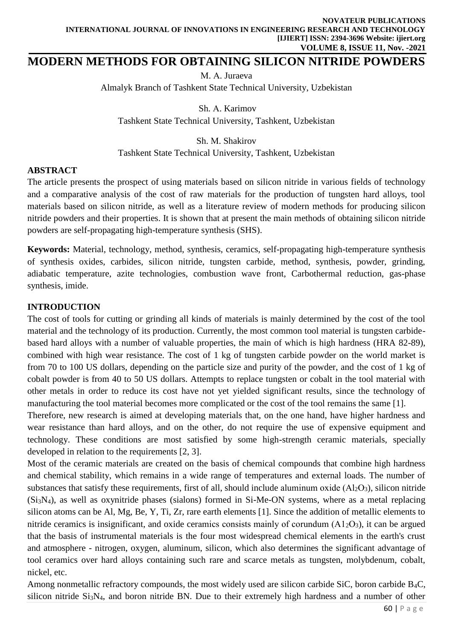# **MODERN METHODS FOR OBTAINING SILICON NITRIDE POWDERS**

М. А. Juraeva Almalyk Branch of Tashkent State Technical University, Uzbekistan

Sh. А. Karimov Tashkent State Technical University, Tashkent, Uzbekistan

Sh. М. Shakirov

Tashkent State Technical University, Tashkent, Uzbekistan

## **ABSTRACT**

The article presents the prospect of using materials based on silicon nitride in various fields of technology and a comparative analysis of the cost of raw materials for the production of tungsten hard alloys, tool materials based on silicon nitride, as well as a literature review of modern methods for producing silicon nitride powders and their properties. It is shown that at present the main methods of obtaining silicon nitride powders are self-propagating high-temperature synthesis (SHS).

**Keywords:** Material, technology, method, synthesis, ceramics, self-propagating high-temperature synthesis of synthesis oxides, carbides, silicon nitride, tungsten carbide, method, synthesis, powder, grinding, adiabatic temperature, azite technologies, combustion wave front, Carbothermal reduction, gas-phase synthesis, imide.

## **INTRODUCTION**

The cost of tools for cutting or grinding all kinds of materials is mainly determined by the cost of the tool material and the technology of its production. Currently, the most common tool material is tungsten carbidebased hard alloys with a number of valuable properties, the main of which is high hardness (HRA 82-89), combined with high wear resistance. The cost of 1 kg of tungsten carbide powder on the world market is from 70 to 100 US dollars, depending on the particle size and purity of the powder, and the cost of 1 kg of cobalt powder is from 40 to 50 US dollars. Attempts to replace tungsten or cobalt in the tool material with other metals in order to reduce its cost have not yet yielded significant results, since the technology of manufacturing the tool material becomes more complicated or the cost of the tool remains the same [1].

Therefore, new research is aimed at developing materials that, on the one hand, have higher hardness and wear resistance than hard alloys, and on the other, do not require the use of expensive equipment and technology. These conditions are most satisfied by some high-strength ceramic materials, specially developed in relation to the requirements [2, 3].

Most of the ceramic materials are created on the basis of chemical compounds that combine high hardness and chemical stability, which remains in a wide range of temperatures and external loads. The number of substances that satisfy these requirements, first of all, should include aluminum oxide  $(A<sub>2</sub>O<sub>3</sub>)$ , silicon nitride (Si3N4), as well as oxynitride phases (sialons) formed in Si-Me-ON systems, where as a metal replacing silicon atoms can be Al, Mg, Be, Y, Ti, Zr, rare earth elements [1]. Since the addition of metallic elements to nitride ceramics is insignificant, and oxide ceramics consists mainly of corundum  $(A1<sub>2</sub>O<sub>3</sub>)$ , it can be argued that the basis of instrumental materials is the four most widespread chemical elements in the earth's crust and atmosphere - nitrogen, oxygen, aluminum, silicon, which also determines the significant advantage of tool ceramics over hard alloys containing such rare and scarce metals as tungsten, molybdenum, cobalt, nickel, etc.

Among nonmetallic refractory compounds, the most widely used are silicon carbide SiC, boron carbide B4C, silicon nitride Si3N4, and boron nitride BN. Due to their extremely high hardness and a number of other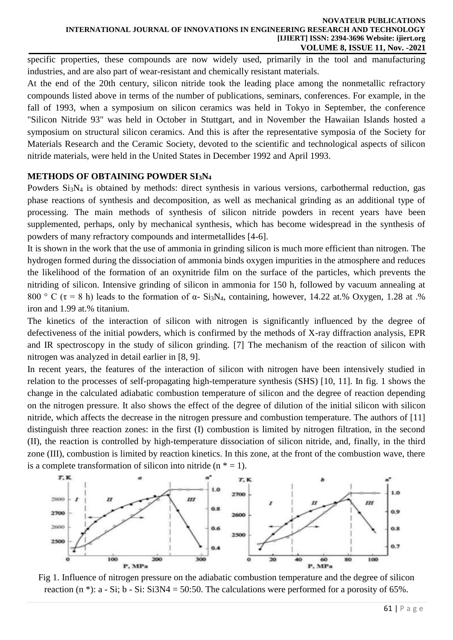specific properties, these compounds are now widely used, primarily in the tool and manufacturing industries, and are also part of wear-resistant and chemically resistant materials.

At the end of the 20th century, silicon nitride took the leading place among the nonmetallic refractory compounds listed above in terms of the number of publications, seminars, conferences. For example, in the fall of 1993, when a symposium on silicon ceramics was held in Tokyo in September, the conference "Silicon Nitride 93" was held in October in Stuttgart, and in November the Hawaiian Islands hosted a symposium on structural silicon ceramics. And this is after the representative symposia of the Society for Materials Research and the Ceramic Society, devoted to the scientific and technological aspects of silicon nitride materials, were held in the United States in December 1992 and April 1993.

### **METHODS OF OBTAINING POWDER SI3N<sup>4</sup>**

Powders Si3N<sup>4</sup> is obtained by methods: direct synthesis in various versions, carbothermal reduction, gas phase reactions of synthesis and decomposition, as well as mechanical grinding as an additional type of processing. The main methods of synthesis of silicon nitride powders in recent years have been supplemented, perhaps, only by mechanical synthesis, which has become widespread in the synthesis of powders of many refractory compounds and intermetallides [4-6].

It is shown in the work that the use of ammonia in grinding silicon is much more efficient than nitrogen. The hydrogen formed during the dissociation of ammonia binds oxygen impurities in the atmosphere and reduces the likelihood of the formation of an oxynitride film on the surface of the particles, which prevents the nitriding of silicon. Intensive grinding of silicon in ammonia for 150 h, followed by vacuum annealing at 800 ° C ( $\tau$  = 8 h) leads to the formation of  $\alpha$ - Si<sub>3</sub>N<sub>4</sub>, containing, however, 14.22 at.% Oxygen, 1.28 at .% iron and 1.99 at.% titanium.

The kinetics of the interaction of silicon with nitrogen is significantly influenced by the degree of defectiveness of the initial powders, which is confirmed by the methods of X-ray diffraction analysis, EPR and IR spectroscopy in the study of silicon grinding. [7] The mechanism of the reaction of silicon with nitrogen was analyzed in detail earlier in [8, 9].

In recent years, the features of the interaction of silicon with nitrogen have been intensively studied in relation to the processes of self-propagating high-temperature synthesis (SHS) [10, 11]. In fig. 1 shows the change in the calculated adiabatic combustion temperature of silicon and the degree of reaction depending on the nitrogen pressure. It also shows the effect of the degree of dilution of the initial silicon with silicon nitride, which affects the decrease in the nitrogen pressure and combustion temperature. The authors of [11] distinguish three reaction zones: in the first (I) combustion is limited by nitrogen filtration, in the second (II), the reaction is controlled by high-temperature dissociation of silicon nitride, and, finally, in the third zone (III), combustion is limited by reaction kinetics. In this zone, at the front of the combustion wave, there is a complete transformation of silicon into nitride  $(n \cdot \epsilon = 1)$ .



Fig 1. Influence of nitrogen pressure on the adiabatic combustion temperature and the degree of silicon reaction  $(n *):$  a - Si; b - Si: Si3N4 = 50:50. The calculations were performed for a porosity of 65%.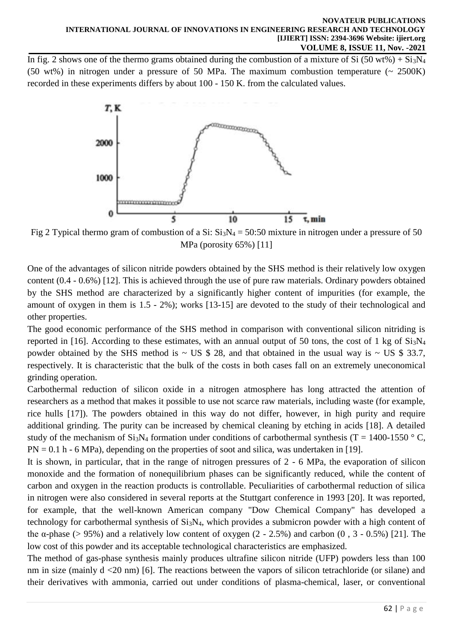In fig. 2 shows one of the thermo grams obtained during the combustion of a mixture of Si (50 wt%) + Si<sub>3</sub>N<sub>4</sub> (50 wt%) in nitrogen under a pressure of 50 MPa. The maximum combustion temperature  $(2.500K)$ recorded in these experiments differs by about 100 - 150 K. from the calculated values.



Fig 2 Typical thermo gram of combustion of a Si:  $Si<sub>3</sub>N<sub>4</sub> = 50:50$  mixture in nitrogen under a pressure of 50 MPa (porosity 65%) [11]

One of the advantages of silicon nitride powders obtained by the SHS method is their relatively low oxygen content (0.4 - 0.6%) [12]. This is achieved through the use of pure raw materials. Ordinary powders obtained by the SHS method are characterized by a significantly higher content of impurities (for example, the amount of oxygen in them is 1.5 - 2%); works [13-15] are devoted to the study of their technological and other properties.

The good economic performance of the SHS method in comparison with conventional silicon nitriding is reported in [16]. According to these estimates, with an annual output of 50 tons, the cost of 1 kg of  $Si<sub>3</sub>N<sub>4</sub>$ powder obtained by the SHS method is  $\sim$  US \$ 28, and that obtained in the usual way is  $\sim$  US \$ 33.7, respectively. It is characteristic that the bulk of the costs in both cases fall on an extremely uneconomical grinding operation.

Carbothermal reduction of silicon oxide in a nitrogen atmosphere has long attracted the attention of researchers as a method that makes it possible to use not scarce raw materials, including waste (for example, rice hulls [17]). The powders obtained in this way do not differ, however, in high purity and require additional grinding. The purity can be increased by chemical cleaning by etching in acids [18]. A detailed study of the mechanism of  $Si_3N_4$  formation under conditions of carbothermal synthesis (T = 1400-1550 °C,  $PN = 0.1 h - 6 MPa$ , depending on the properties of soot and silica, was undertaken in [19].

It is shown, in particular, that in the range of nitrogen pressures of 2 - 6 MPa, the evaporation of silicon monoxide and the formation of nonequilibrium phases can be significantly reduced, while the content of carbon and oxygen in the reaction products is controllable. Peculiarities of carbothermal reduction of silica in nitrogen were also considered in several reports at the Stuttgart conference in 1993 [20]. It was reported, for example, that the well-known American company "Dow Chemical Company" has developed a technology for carbothermal synthesis of Si3N4, which provides a submicron powder with a high content of the  $\alpha$ -phase (> 95%) and a relatively low content of oxygen (2 - 2.5%) and carbon (0, 3 - 0.5%) [21]. The low cost of this powder and its acceptable technological characteristics are emphasized.

The method of gas-phase synthesis mainly produces ultrafine silicon nitride (UFP) powders less than 100 nm in size (mainly d <20 nm) [6]. The reactions between the vapors of silicon tetrachloride (or silane) and their derivatives with ammonia, carried out under conditions of plasma-chemical, laser, or conventional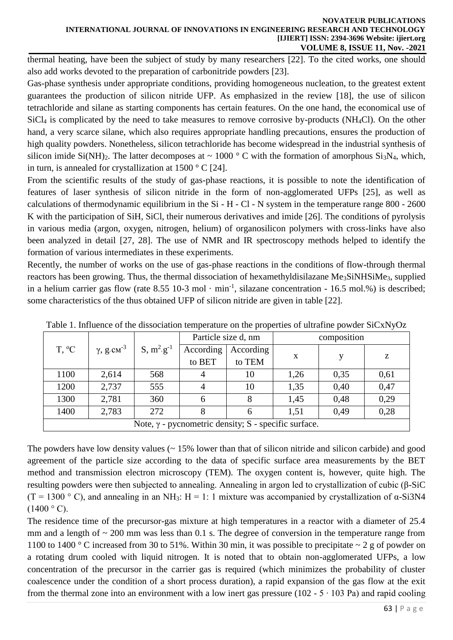#### **NOVATEUR PUBLICATIONS INTERNATIONAL JOURNAL OF INNOVATIONS IN ENGINEERING RESEARCH AND TECHNOLOGY [IJIERT] ISSN: 2394-3696 Website: ijiert.org VOLUME 8, ISSUE 11, Nov. -2021**

thermal heating, have been the subject of study by many researchers [22]. To the cited works, one should also add works devoted to the preparation of carbonitride powders [23].

Gas-phase synthesis under appropriate conditions, providing homogeneous nucleation, to the greatest extent guarantees the production of silicon nitride UFP. As emphasized in the review [18], the use of silicon tetrachloride and silane as starting components has certain features. On the one hand, the economical use of SiCl<sup>4</sup> is complicated by the need to take measures to remove corrosive by-products (NH4Cl). On the other hand, a very scarce silane, which also requires appropriate handling precautions, ensures the production of high quality powders. Nonetheless, silicon tetrachloride has become widespread in the industrial synthesis of silicon imide Si(NH)<sub>2</sub>. The latter decomposes at  $\sim 1000$  ° C with the formation of amorphous Si<sub>3</sub>N<sub>4</sub>, which, in turn, is annealed for crystallization at  $1500 \degree$  C [24].

From the scientific results of the study of gas-phase reactions, it is possible to note the identification of features of laser synthesis of silicon nitride in the form of non-agglomerated UFPs [25], as well as calculations of thermodynamic equilibrium in the Si - H - Cl - N system in the temperature range 800 - 2600 K with the participation of SiH, SiCl, their numerous derivatives and imide [26]. The conditions of pyrolysis in various media (argon, oxygen, nitrogen, helium) of organosilicon polymers with cross-links have also been analyzed in detail [27, 28]. The use of NMR and IR spectroscopy methods helped to identify the formation of various intermediates in these experiments.

Recently, the number of works on the use of gas-phase reactions in the conditions of flow-through thermal reactors has been growing. Thus, the thermal dissociation of hexamethyldisilazane Me<sub>3</sub>SiNHSiMe<sub>3</sub>, supplied in a helium carrier gas flow (rate 8.55 10-3 mol  $\cdot$  min<sup>-1</sup>, silazane concentration - 16.5 mol.%) is described; some characteristics of the thus obtained UFP of silicon nitride are given in table [22].

| <u>twere in influence of the whole elution temperature on the properties of whitehine possesses</u> |                               |                 |                     |                     |             |      |      |
|-----------------------------------------------------------------------------------------------------|-------------------------------|-----------------|---------------------|---------------------|-------------|------|------|
| $T, {}^{\circ}C$                                                                                    | $\gamma$ , g.cm <sup>-3</sup> | $S, m^2.g^{-1}$ | Particle size d, nm |                     | composition |      |      |
|                                                                                                     |                               |                 | According<br>to BET | According<br>to TEM | X           |      | z    |
| 1100                                                                                                | 2,614                         | 568             | 4                   | 10                  | 1,26        | 0,35 | 0,61 |
| 1200                                                                                                | 2,737                         | 555             | 4                   | 10                  | 1,35        | 0,40 | 0,47 |
| 1300                                                                                                | 2,781                         | 360             | 6                   | 8                   | 1,45        | 0,48 | 0,29 |
| 1400                                                                                                | 2,783                         | 272             | 8                   | 6                   | 1,51        | 0.49 | 0,28 |
| Note, $\gamma$ - pycnometric density; S - specific surface.                                         |                               |                 |                     |                     |             |      |      |

Table 1. Influence of the dissociation temperature on the properties of ultrafine powder SiCxNyOz

The powders have low density values  $($   $\sim$  15% lower than that of silicon nitride and silicon carbide) and good agreement of the particle size according to the data of specific surface area measurements by the BET method and transmission electron microscopy (TEM). The oxygen content is, however, quite high. The resulting powders were then subjected to annealing. Annealing in argon led to crystallization of cubic (β-SiC (T = 1300 ° C), and annealing in an NH<sub>3</sub>: H = 1: 1 mixture was accompanied by crystallization of  $\alpha$ -Si3N4  $(1400 °C)$ .

The residence time of the precursor-gas mixture at high temperatures in a reactor with a diameter of 25.4 mm and a length of  $\sim$  200 mm was less than 0.1 s. The degree of conversion in the temperature range from 1100 to 1400 ° C increased from 30 to 51%. Within 30 min, it was possible to precipitate  $\sim$  2 g of powder on a rotating drum cooled with liquid nitrogen. It is noted that to obtain non-agglomerated UFPs, a low concentration of the precursor in the carrier gas is required (which minimizes the probability of cluster coalescence under the condition of a short process duration), a rapid expansion of the gas flow at the exit from the thermal zone into an environment with a low inert gas pressure (102 -  $5 \cdot 103$  Pa) and rapid cooling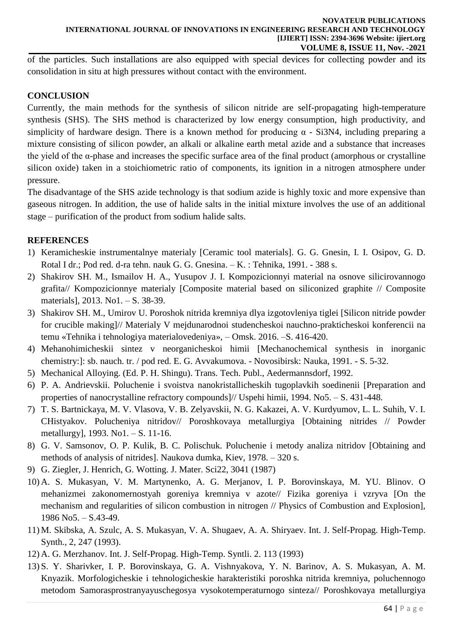of the particles. Such installations are also equipped with special devices for collecting powder and its consolidation in situ at high pressures without contact with the environment.

### **CONCLUSION**

Currently, the main methods for the synthesis of silicon nitride are self-propagating high-temperature synthesis (SHS). The SHS method is characterized by low energy consumption, high productivity, and simplicity of hardware design. There is a known method for producing  $\alpha$  - Si3N4, including preparing a mixture consisting of silicon powder, an alkali or alkaline earth metal azide and a substance that increases the yield of the  $\alpha$ -phase and increases the specific surface area of the final product (amorphous or crystalline silicon oxide) taken in a stoichiometric ratio of components, its ignition in a nitrogen atmosphere under pressure.

The disadvantage of the SHS azide technology is that sodium azide is highly toxic and more expensive than gaseous nitrogen. In addition, the use of halide salts in the initial mixture involves the use of an additional stage – purification of the product from sodium halide salts.

## **REFERENCES**

- 1) Keramicheskie instrumentalnye materialy [Ceramic tool materials]. G. G. Gnesin, I. I. Osipov, G. D. Rotal I dr.; Pod red. d-ra tehn. nauk G. G. Gnesina. – K. : Tehnika, 1991. - 388 s.
- 2) Shakirov SH. M., Ismailov H. A., Yusupov J. I. Kompozicionnyi material na osnove silicirovannogo grafita// Kompozicionnye materialy [Composite material based on siliconized graphite // Composite materials], 2013. No1. – S. 38-39.
- 3) Shakirov SH. M., Umirov U. Poroshok nitrida kremniya dlya izgotovleniya tiglei [Silicon nitride powder for crucible making]// Materialy V mejdunarodnoi studencheskoi nauchno-prakticheskoi konferencii na temu «Tehnika i tehnologiya materialovedeniya», – Omsk. 2016. –S. 416-420.
- 4) Mehanohimicheskii sintez v neorganicheskoi himii [Mechanochemical synthesis in inorganic chemistry:]: sb. nauch. tr. / pod red. E. G. Avvakumova. - Novosibirsk: Nauka, 1991. - S. 5-32.
- 5) Mechanical Alloying. (Ed. P. H. Shingu). Trans. Tech. Publ., Aedermannsdorf, 1992.
- 6) P. A. Andrievskii. Poluchenie i svoistva nanokristallicheskih tugoplavkih soedinenii [Preparation and properties of nanocrystalline refractory compounds]// Uspehi himii, 1994. No5. – S. 431-448.
- 7) T. S. Bartnickaya, M. V. Vlasova, V. B. Zelyavskii, N. G. Kakazei, A. V. Kurdyumov, L. L. Suhih, V. I. CHistyakov. Polucheniya nitridov// Poroshkovaya metallurgiya [Obtaining nitrides // Powder metallurgy], 1993. No1. – S. 11-16.
- 8) G. V. Samsonov, O. P. Kulik, B. C. Polischuk. Poluchenie i metody analiza nitridov [Obtaining and methods of analysis of nitrides]. Naukova dumka, Kiev, 1978. – 320 s.
- 9) G. Ziegler, J. Henrich, G. Wotting. J. Mater. Sci22, 3041 (1987)
- 10) A. S. Mukasyan, V. M. Martynenko, A. G. Merjanov, I. P. Borovinskaya, M. YU. Blinov. O mehanizmei zakonomernostyah goreniya kremniya v azote// Fizika goreniya i vzryva [On the mechanism and regularities of silicon combustion in nitrogen // Physics of Combustion and Explosion], 1986 No5. – S.43-49.
- 11) M. Skibska, A. Szulc, A. S. Mukasyan, V. A. Shugaev, A. A. Shiryaev. Int. J. Self-Propag. High-Temp. Synth., 2, 247 (1993).
- 12) A. G. Merzhanov. Int. J. Self-Propag. High-Temp. Syntli. 2. 113 (1993)
- 13) S. Y. Sharivker, I. P. Borovinskaya, G. A. Vishnyakova, Y. N. Barinov, A. S. Mukasyan, A. M. Knyazik. Morfologicheskie i tehnologicheskie harakteristiki poroshka nitrida kremniya, poluchennogo metodom Samorasprostranyayuschegosya vysokotemperaturnogo sinteza// Poroshkovaya metallurgiya